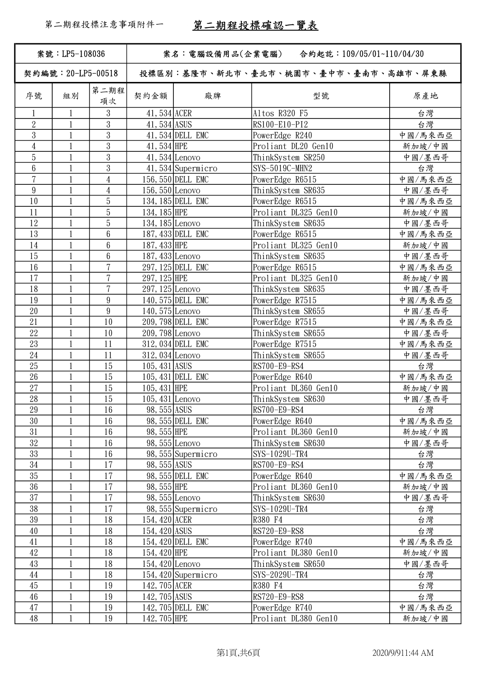| 案號: LP5-108036     |                              |                 | 案名:電腦設備用品(企業電腦)<br>合約起訖:109/05/01~110/04/30 |                     |                                      |              |  |
|--------------------|------------------------------|-----------------|---------------------------------------------|---------------------|--------------------------------------|--------------|--|
| 契約編號: 20-LP5-00518 |                              |                 |                                             |                     | 投標區別:基隆市、新北市、臺北市、桃園市、臺中市、臺南市、高雄市、屏東縣 |              |  |
| 序號                 | 組別                           | 第二期程<br>項次      | 契約金額                                        | 廠牌                  | 型號                                   | 原產地          |  |
| $\mathbf{1}$       | 1                            | 3               | 41, 534 ACER                                |                     | Altos R320 F5                        | 台灣           |  |
| $\overline{2}$     | $\mathbf{1}$                 | $\mathbf{3}$    | 41, 534 ASUS                                |                     | RS100-E10-PI2                        | 台灣           |  |
| $\overline{3}$     | $\mathbf{1}$                 | $\mathbf{3}$    |                                             | 41, 534 DELL EMC    | PowerEdge R240                       | 中國/馬來西亞      |  |
| $\overline{4}$     |                              | $\mathbf{3}$    | 41, 534 HPE                                 |                     | Proliant DL20 Gen10                  | 新加坡/中國       |  |
| 5                  | 1                            | 3               |                                             | $41,534$ Lenovo     | ThinkSystem SR250                    | 中國/墨西哥       |  |
| $6\phantom{.}6$    |                              | $\mathfrak{Z}$  |                                             | 41,534 Supermicro   | SYS-5019C-MHN2                       | 台灣           |  |
| $\overline{7}$     | $\mathbf{1}$                 | $\overline{4}$  |                                             | 156, 550 DELL EMC   | PowerEdge R6515                      | 中國/馬來西亞      |  |
| $\boldsymbol{9}$   |                              | $\overline{4}$  | $156,550$ Lenovo                            |                     | ThinkSystem SR635                    | 中國/墨西哥       |  |
| 10                 | $\mathbf{1}$                 | 5               |                                             | 134, 185 DELL EMC   | PowerEdge R6515                      | 中國/馬來西亞      |  |
| 11                 | $\mathbf{1}$                 | $\overline{5}$  | 134, 185 HPE                                |                     | Proliant DL325 Gen10                 | 新加坡/中國       |  |
| 12                 | $\mathbf{1}$                 | 5               | 134, 185 Lenovo                             |                     | ThinkSystem SR635                    | 中國/墨西哥       |  |
| 13                 | 1                            | $6\phantom{.}6$ |                                             | 187, 433 DELL EMC   | PowerEdge R6515                      | 中國/馬來西亞      |  |
| 14                 | $\mathbf{1}$                 | $6\phantom{.}6$ | 187, 433 HPE                                |                     | Proliant DL325 Gen10                 | 新加坡/中國       |  |
| 15                 | $\mathbf{1}$                 | $6\phantom{.}6$ | $187,433$ Lenovo                            |                     | ThinkSystem SR635                    | 中國/墨西哥       |  |
| 16                 |                              | $\overline{7}$  |                                             | 297, 125 DELL EMC   | PowerEdge R6515                      | 中國/馬來西亞      |  |
| 17                 | $\mathbf{1}$                 | $\overline{7}$  | 297, 125 HPE                                |                     | Proliant DL325 Gen10                 | 新加坡/中國       |  |
| 18                 | $\mathbf{1}$                 | $\overline{7}$  | $297, 125$ Lenovo                           |                     | ThinkSystem SR635                    | 中國/墨西哥       |  |
| 19                 | $\mathbf{1}$                 | 9               |                                             | 140, 575 DELL EMC   | PowerEdge R7515                      | 中國/馬來西亞      |  |
| 20                 | $\mathbf{1}$                 | 9               | $140, 575$ Lenovo                           |                     | ThinkSystem SR655                    |              |  |
| 21                 | $\mathbf{1}$                 | 10              |                                             | 209, 798 DELL EMC   | PowerEdge R7515                      | 中國/墨西哥       |  |
| 22                 | $\mathbf{1}$                 | 10              | 209, 798 Lenovo                             |                     |                                      | 中國/馬來西亞      |  |
| 23                 |                              | 11              |                                             | 312, 034 DELL EMC   | ThinkSystem SR655                    | 中國/墨西哥       |  |
| 24                 | $\mathbf{1}$                 | 11              | 312, 034 Lenovo                             |                     | PowerEdge R7515                      | 中國/馬來西亞      |  |
| 25                 | $\mathbf{1}$                 | 15              | 105, 431 ASUS                               |                     | ThinkSystem SR655<br>RS700-E9-RS4    | 中國/墨西哥<br>台灣 |  |
| 26                 |                              | 15              |                                             | 105, 431 DELL EMC   |                                      |              |  |
|                    | $\mathbf{1}$                 |                 |                                             |                     | PowerEdge R640                       | 中國/馬來西亞      |  |
| $27\,$             | $\mathbf{1}$<br>$\mathbf{1}$ | 15<br>15        | 105, 431 HPE                                |                     | Proliant DL360 Gen10                 | 新加坡/中國       |  |
| 28                 |                              |                 | 105, 431 Lenovo                             |                     | ThinkSystem SR630                    | 中國/墨西哥       |  |
| 29                 | 1                            | 16              | 98, 555 ASUS                                |                     | RS700-E9-RS4                         | 台灣           |  |
| 30                 |                              | 16              |                                             | 98, 555 DELL EMC    | PowerEdge R640                       | 中國/馬來西亞      |  |
| 31                 | $\mathbf{1}$                 | 16              | 98, 555 HPE                                 |                     | Proliant DL360 Gen10                 | 新加坡/中國       |  |
| 32<br>33           |                              | 16              |                                             | 98, 555 Lenovo      | ThinkSystem SR630                    | 中國/墨西哥       |  |
|                    | $\mathbf{1}$                 | 16              |                                             | 98,555 Supermicro   | SYS-1029U-TR4                        | 台灣           |  |
| $34\,$             |                              | 17              | 98, 555 ASUS                                |                     | RS700-E9-RS4                         | 台灣           |  |
| 35                 | $\mathbf{1}$                 | 17              |                                             | 98, 555 DELL EMC    | PowerEdge R640                       | 中國/馬來西亞      |  |
| 36                 | $\mathbf{1}$                 | 17              | 98, 555 HPE                                 |                     | Proliant DL360 Gen10                 | 新加坡/中國       |  |
| 37                 |                              | 17              |                                             | 98, 555 Lenovo      | ThinkSystem SR630                    | 中國/墨西哥       |  |
| 38                 |                              | 17              |                                             | 98, 555 Supermicro  | SYS-1029U-TR4                        | 台灣           |  |
| 39                 | $\mathbf{1}$                 | 18              | 154, 420 ACER                               |                     | R380 F4                              | 台灣           |  |
| 40                 | $\mathbf{1}$                 | 18              | 154, 420 ASUS                               |                     | RS720-E9-RS8                         | 台灣           |  |
| 41                 |                              | 18              |                                             | 154, 420 DELL EMC   | PowerEdge R740                       | 中國/馬來西亞      |  |
| 42                 | $\mathbf{1}$                 | 18              | 154, 420 HPE                                |                     | Proliant DL380 Gen10                 | 新加坡/中國       |  |
| 43                 | $\mathbf{1}$                 | 18              | $154,420$ Lenovo                            |                     | ThinkSystem SR650                    | 中國/墨西哥       |  |
| 44                 | $\mathbf{1}$                 | 18              |                                             | 154, 420 Supermicro | SYS-2029U-TR4                        | 台灣           |  |
| 45                 | $\mathbf{1}$                 | 19              | 142, 705 ACER                               |                     | R380 F4                              | 台灣           |  |
| 46                 | $\mathbf{1}$                 | 19              | 142, 705 ASUS                               |                     | RS720-E9-RS8                         | 台灣           |  |
| 47                 | $\mathbf{1}$                 | 19              |                                             | 142, 705 DELL EMC   | PowerEdge R740                       | 中國/馬來西亞      |  |
| 48                 | $\mathbf{1}$                 | 19              | 142, 705 HPE                                |                     | Proliant DL380 Gen10                 | 新加坡/中國       |  |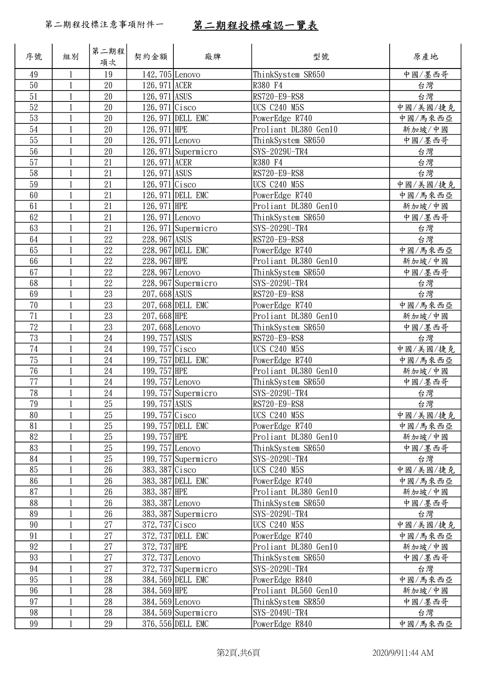| 序號     | 組別           | 第二期程 <br>項次 | 契約金額             | 廠牌                  | 型號                   | 原產地      |
|--------|--------------|-------------|------------------|---------------------|----------------------|----------|
| 49     | $\mathbf{1}$ | 19          | 142, 705 Lenovo  |                     | ThinkSystem SR650    | 中國/墨西哥   |
| 50     | $\mathbf{1}$ | 20          | 126, 971 ACER    |                     | R380 F4              | 台灣       |
| 51     | $\mathbf{1}$ | 20          | 126, 971 ASUS    |                     | RS720-E9-RS8         | 台灣       |
| 52     |              | 20          | $126,971$ Cisco  |                     | <b>UCS C240 M5S</b>  | 中國/美國/捷克 |
| 53     |              | 20          |                  | 126, 971 DELL EMC   | PowerEdge R740       | 中國/馬來西亞  |
| 54     | $\mathbf{1}$ | $20\,$      | 126, 971 HPE     |                     | Proliant DL380 Gen10 | 新加坡/中國   |
| 55     | $\mathbf{1}$ | 20          | $126,971$ Lenovo |                     | ThinkSystem SR650    | 中國/墨西哥   |
| 56     | $\mathbf{1}$ | 20          |                  | 126, 971 Supermicro | SYS-2029U-TR4        | 台灣       |
| 57     | $\mathbf{1}$ | 21          | 126, 971 ACER    |                     | R380 F4              | 台灣       |
| 58     | $\mathbf{1}$ | 21          | 126, 971 ASUS    |                     | RS720-E9-RS8         | 台灣       |
| 59     |              | 21          | $126,971$ Cisco  |                     | <b>UCS C240 M5S</b>  | 中國/美國/捷克 |
| 60     | $\mathbf{1}$ | 21          |                  | 126, 971 DELL EMC   | PowerEdge R740       | 中國/馬來西亞  |
| 61     |              | 21          | 126, 971 HPE     |                     | Proliant DL380 Gen10 | 新加坡/中國   |
| 62     |              | 21          | $126,971$ Lenovo |                     | ThinkSystem SR650    | 中國/墨西哥   |
| 63     | $\mathbf{1}$ | 21          |                  | 126, 971 Supermicro | SYS-2029U-TR4        | 台灣       |
| 64     | $\mathbf{1}$ | 22          | 228, 967 ASUS    |                     | RS720-E9-RS8         | 台灣       |
| 65     | $\mathbf{1}$ | 22          |                  | 228, 967 DELL EMC   | PowerEdge R740       | 中國/馬來西亞  |
| 66     | 1            | 22          | 228, 967 HPE     |                     | Proliant DL380 Gen10 | 新加坡/中國   |
| 67     | $\mathbf{1}$ | 22          | 228, 967 Lenovo  |                     | ThinkSystem SR650    | 中國/墨西哥   |
| 68     | $\mathbf{1}$ | 22          |                  | 228, 967 Supermicro | SYS-2029U-TR4        | 台灣       |
| 69     |              | 23          | 207, 668 ASUS    |                     | RS720-E9-RS8         | 台灣       |
| 70     | $\mathbf{1}$ | 23          |                  | 207, 668 DELL EMC   | PowerEdge R740       | 中國/馬來西亞  |
| 71     | $\mathbf{1}$ | 23          | $207,668$ HPE    |                     | Proliant DL380 Gen10 | 新加坡/中國   |
| 72     | $\mathbf{1}$ | 23          | 207, 668 Lenovo  |                     | ThinkSystem SR650    | 中國/墨西哥   |
| 73     |              | 24          | 199, 757 ASUS    |                     | RS720-E9-RS8         | 台灣       |
| 74     | 1            | 24          | 199, $757$ Cisco |                     | <b>UCS C240 M5S</b>  | 中國/美國/捷克 |
| 75     | $\mathbf{1}$ | 24          |                  | 199, 757 DELL EMC   | PowerEdge R740       | 中國/馬來西亞  |
| 76     | $\mathbf{1}$ | 24          | 199, 757 HPE     |                     | Proliant DL380 Gen10 | 新加坡/中國   |
| 77     |              | $24\,$      | 199, 757 Lenovo  |                     | ThinkSystem SR650    | 中國/墨西哥   |
| 78     | $\mathbf{1}$ | 24          |                  | 199, 757 Supermicro | SYS-2029U-TR4        | 台灣       |
| 79     | $\,1$        | $25\,$      | 199, 757 ASUS    |                     | RS720-E9-RS8         | 台灣       |
| 80     | 1            | 25          | 199, $757$ Cisco |                     | <b>UCS C240 M5S</b>  | 中國/美國/捷克 |
| 81     |              | 25          |                  | 199, 757 DELL EMC   | PowerEdge R740       | 中國/馬來西亞  |
| 82     | 1            | 25          | 199, 757 HPE     |                     | Proliant DL380 Gen10 | 新加坡/中國   |
| 83     | $\mathbf{1}$ | 25          | 199, 757 Lenovo  |                     | ThinkSystem SR650    | 中國/墨西哥   |
| 84     |              | 25          |                  | 199, 757 Supermicro | SYS-2029U-TR4        | 台灣       |
| 85     |              | 26          | 383, 387 Cisco   |                     | <b>UCS C240 M5S</b>  | 中國/美國/捷克 |
| 86     |              | $26\,$      |                  | 383, 387 DELL EMC   | PowerEdge R740       | 中國/馬來西亞  |
| 87     |              | 26          | 383, 387 HPE     |                     | Proliant DL380 Gen10 | 新加坡/中國   |
| 88     | $\mathbf{1}$ | 26          | 383, 387 Lenovo  |                     | ThinkSystem SR650    | 中國/墨西哥   |
| 89     | 1            | 26          |                  | 383, 387 Supermicro | SYS-2029U-TR4        | 台灣       |
| 90     |              | 27          | 372, 737 Cisco   |                     | <b>UCS C240 M5S</b>  | 中國/美國/捷克 |
| 91     |              | 27          |                  | 372, 737 DELL EMC   | PowerEdge R740       | 中國/馬來西亞  |
| 92     | $\mathbf{1}$ | 27          | 372, 737 HPE     |                     | Proliant DL380 Gen10 | 新加坡/中國   |
| 93     |              | 27          | 372, 737 Lenovo  |                     | ThinkSystem SR650    | 中國/墨西哥   |
| 94     |              | 27          |                  | 372, 737 Supermicro | SYS-2029U-TR4        | 台灣       |
| 95     | $\mathbf{1}$ | $28\,$      |                  | 384, 569 DELL EMC   | PowerEdge R840       | 中國/馬來西亞  |
| 96     | $\mathbf{1}$ | 28          | 384, 569 HPE     |                     | Proliant DL560 Gen10 | 新加坡/中國   |
| 97     | $\mathbf{1}$ | $28\,$      | 384, 569 Lenovo  |                     | ThinkSystem SR850    | 中國/墨西哥   |
| 98     |              | 28          |                  | 384, 569 Supermicro | SYS-2049U-TR4        | 台灣       |
| $99\,$ | $\mathbf{1}$ | $29\,$      |                  | 376, 556 DELL EMC   | PowerEdge R840       | 中國/馬來西亞  |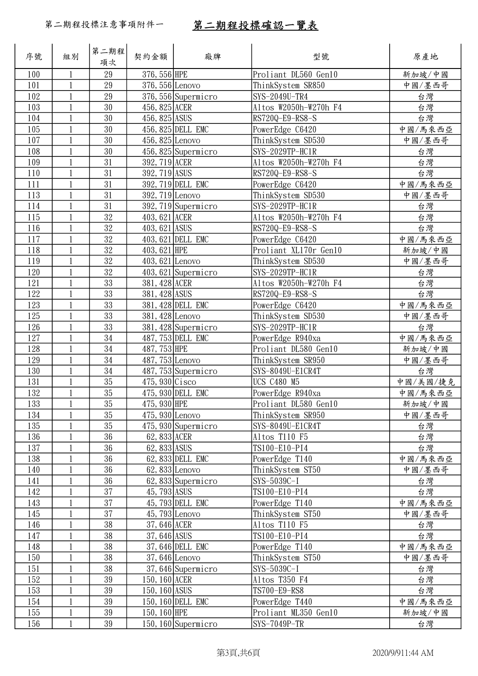| 序號  | 組別           | 第二期程<br>項次 | 契約金額              | 廠牌                    | 型號                    | 原產地      |
|-----|--------------|------------|-------------------|-----------------------|-----------------------|----------|
| 100 | 1            | 29         | 376, 556 HPE      |                       | Proliant DL560 Gen10  | 新加坡/中國   |
| 101 | $\mathbf{1}$ | 29         | 376, 556 Lenovo   |                       | ThinkSystem SR850     | 中國/墨西哥   |
| 102 | 1            | 29         |                   | 376, 556 Supermicro   | SYS-2049U-TR4         | 台灣       |
| 103 | 1            | 30         | 456, 825 ACER     |                       | Altos W2050h-W270h F4 | 台灣       |
| 104 |              | 30         | 456, 825 ASUS     |                       | RS720Q-E9-RS8-S       | 台灣       |
| 105 | $\mathbf{1}$ | 30         |                   | 456, 825 DELL EMC     | PowerEdge C6420       | 中國/馬來西亞  |
| 107 | 1            | 30         | $456, 825$ Lenovo |                       | ThinkSystem SD530     | 中國/墨西哥   |
| 108 | 1            | 30         |                   | 456, 825 Supermicro   | SYS-2029TP-HC1R       | 台灣       |
| 109 | $\mathbf 1$  | 31         | 392, 719 ACER     |                       | Altos W2050h-W270h F4 | 台灣       |
| 110 | $\mathbf{1}$ | 31         | 392, 719 ASUS     |                       | RS720Q-E9-RS8-S       | 台灣       |
| 111 |              | 31         |                   | 392, 719 DELL EMC     | PowerEdge C6420       | 中國/馬來西亞  |
| 113 |              | 31         | 392, 719 Lenovo   |                       | ThinkSystem SD530     | 中國/墨西哥   |
| 114 | $\mathbf{1}$ | 31         |                   | $392, 719$ Supermicro | SYS-2029TP-HC1R       | 台灣       |
| 115 | $\mathbf{1}$ | 32         | 403, 621 ACER     |                       | Altos W2050h-W270h F4 | 台灣       |
| 116 |              | 32         | 403, 621 ASUS     |                       | RS720Q-E9-RS8-S       | 台灣       |
| 117 | 1            | 32         |                   | 403, 621 DELL EMC     | PowerEdge C6420       | 中國/馬來西亞  |
| 118 | $\mathbf{1}$ | 32         | 403, 621 HPE      |                       | Proliant XL170r Gen10 | 新加坡/中國   |
| 119 | $\mathbf{1}$ | 32         | $403,621$ Lenovo  |                       | ThinkSystem SD530     | 中國/墨西哥   |
| 120 | 1            | 32         |                   | 403, 621 Supermicro   | SYS-2029TP-HC1R       | 台灣       |
| 121 | 1            | 33         | 381, 428 ACER     |                       | Altos W2050h-W270h F4 | 台灣       |
| 122 | 1            | 33         | 381, 428 ASUS     |                       | RS720Q-E9-RS8-S       | 台灣       |
| 123 | $\mathbf 1$  | 33         |                   | 381, 428 DELL EMC     | PowerEdge C6420       | 中國/馬來西亞  |
| 125 | 1            | 33         | 381, 428 Lenovo   |                       | ThinkSystem SD530     | 中國/墨西哥   |
| 126 | $\mathbf{1}$ | 33         |                   | 381, 428 Supermicro   | SYS-2029TP-HC1R       | 台灣       |
| 127 | $\mathbf 1$  | 34         |                   | 487, 753 DELL EMC     | PowerEdge R940xa      | 中國/馬來西亞  |
| 128 | $\mathbf 1$  | 34         | 487, 753 HPE      |                       | Proliant DL580 Gen10  | 新加坡/中國   |
| 129 | 1            | 34         | $487,753$ Lenovo  |                       | ThinkSystem SR950     | 中國/墨西哥   |
| 130 | $\mathbf{1}$ | 34         |                   | 487, 753 Supermicro   | SYS-8049U-E1CR4T      | 台灣       |
| 131 | 1            | 35         | $475,930$ Cisco   |                       | <b>UCS C480 M5</b>    | 中國/美國/捷克 |
| 132 | 1            | 35         |                   | 475, 930 DELL EMC     | PowerEdge R940xa      | 中國/馬來西亞  |
| 133 | $\mathbf{1}$ | $35\,$     | 475, 930 HPE      |                       | Proliant DL580 Gen10  | 新加坡/中國   |
| 134 | 1            | 35         | $475,930$ Lenovo  |                       | ThinkSystem SR950     | 中國/墨西哥   |
| 135 |              | 35         |                   | 475,930 Supermicro    | SYS-8049U-E1CR4T      | 台灣       |
| 136 | $\mathbf 1$  | 36         | 62, 833 ACER      |                       | Altos T110 F5         | 台灣       |
| 137 | 1            | 36         | 62, 833 ASUS      |                       | TS100-E10-PI4         | 台灣       |
| 138 |              | 36         |                   | 62, 833 DELL EMC      | PowerEdge T140        | 中國/馬來西亞  |
| 140 |              | 36         | $62,833$ Lenovo   |                       | ThinkSystem ST50      | 中國/墨西哥   |
| 141 | 1            | 36         |                   | $62,833$ Supermicro   | SYS-5039C-I           | 台灣       |
| 142 | 1            | 37         | 45, 793 ASUS      |                       | TS100-E10-PI4         | 台灣       |
| 143 | 1            | 37         |                   | 45, 793 DELL EMC      | PowerEdge T140        | 中國/馬來西亞  |
| 145 | $\mathbf 1$  | 37         | $45,793$ Lenovo   |                       | ThinkSystem ST50      | 中國/墨西哥   |
| 146 | $\mathbf{1}$ | 38         | 37, 646 ACER      |                       | Altos T110 F5         | 台灣       |
| 147 |              | 38         | 37, 646 ASUS      |                       | TS100-E10-PI4         | 台灣       |
| 148 |              | 38         |                   | 37, 646 DELL EMC      | PowerEdge T140        | 中國/馬來西亞  |
| 150 | 1            | 38         | 37,646 Lenovo     |                       | ThinkSystem ST50      | 中國/墨西哥   |
| 151 | 1            | 38         |                   | 37,646 Supermicro     | SYS-5039C-I           | 台灣       |
| 152 | $\mathbf 1$  | 39         | 150, 160 ACER     |                       | Altos T350 F4         | 台灣       |
| 153 | 1            | 39         | 150, 160 ASUS     |                       | TS700-E9-RS8          | 台灣       |
| 154 | $\mathbf 1$  | 39         |                   | 150, 160 DELL EMC     | PowerEdge T440        | 中國/馬來西亞  |
| 155 | $\mathbf{1}$ | $39\,$     | 150, 160 HPE      |                       | Proliant ML350 Gen10  | 新加坡/中國   |
| 156 | 1            | 39         |                   | 150, $160$ Supermicro | SYS-7049P-TR          | 台灣       |
|     |              |            |                   |                       |                       |          |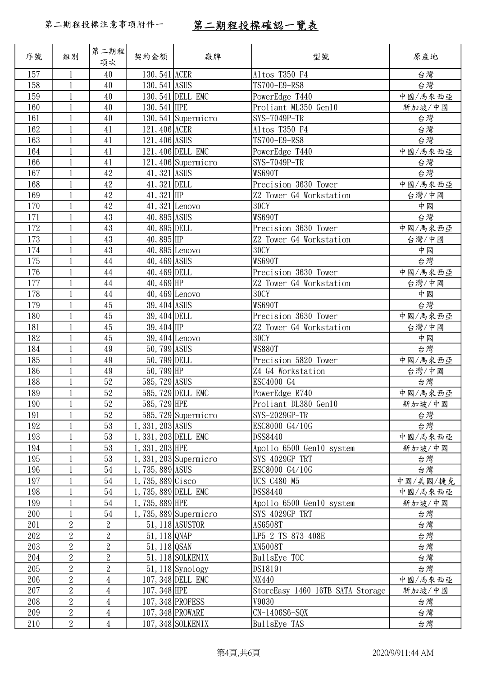| 序號  | 組別             | 第二期程<br>項次     | 契約金額                 | 廠牌                     | 型號                               | 原產地      |
|-----|----------------|----------------|----------------------|------------------------|----------------------------------|----------|
| 157 | $\mathbf{1}$   | 40             | 130, 541 ACER        |                        | Altos T350 F4                    | 台灣       |
| 158 | $\mathbf{1}$   | 40             | 130, 541 ASUS        |                        | TS700-E9-RS8                     | 台灣       |
| 159 |                | 40             |                      | 130, 541 DELL EMC      | PowerEdge T440                   | 中國/馬來西亞  |
| 160 |                | 40             | 130, 541 HPE         |                        | Proliant ML350 Gen10             | 新加坡/中國   |
| 161 | $\mathbf{1}$   | 40             |                      | 130, 541 Supermicro    | SYS-7049P-TR                     | 台灣       |
| 162 | $\mathbf{1}$   | 41             | 121, 406 ACER        |                        | Altos T350 F4                    | 台灣       |
| 163 |                | 41             | 121, 406 ASUS        |                        | TS700-E9-RS8                     | 台灣       |
| 164 | $\mathbf{1}$   | 41             |                      | 121, 406 DELL EMC      | PowerEdge T440                   | 中國/馬來西亞  |
| 166 | $\mathbf{1}$   | 41             |                      | 121,406 Supermicro     | SYS-7049P-TR                     | 台灣       |
| 167 | $\mathbf{1}$   | 42             | 41, 321 ASUS         |                        | <b>WS690T</b>                    | 台灣       |
| 168 |                | $42\,$         | 41, 321 DELL         |                        | Precision 3630 Tower             | 中國/馬來西亞  |
| 169 | 1              | 42             | 41, $321$ HP         |                        | Z2 Tower G4 Workstation          | 台灣/中國    |
| 170 | $\mathbf{1}$   | $42\,$         | $41,321$ Lenovo      |                        | 30CY                             | 中國       |
| 171 | $\mathbf{1}$   | 43             | 40, 895 ASUS         |                        | <b>WS690T</b>                    | 台灣       |
| 172 | 1              | 43             | 40, 895 DELL         |                        | Precision 3630 Tower             | 中國/馬來西亞  |
| 173 | 1              | 43             | $40,895$ HP          |                        | Z2 Tower G4 Workstation          | 台灣/中國    |
| 174 | $\mathbf{1}$   | 43             |                      | $40,895$ Lenovo        | 30CY                             | 中國       |
| 175 |                | 44             | 40, 469 ASUS         |                        | <b>WS690T</b>                    | 台灣       |
| 176 |                | 44             | $40,469$ DELL        |                        | Precision 3630 Tower             | 中國/馬來西亞  |
| 177 | $\mathbf{1}$   | $44\,$         | $40,469$ HP          |                        | Z2 Tower G4 Workstation          | 台灣/中國    |
| 178 |                | $44\,$         |                      | $40,469$ Lenovo        | 30CY                             | 中國       |
| 179 | $\mathbf{1}$   | 45             | 39, 404 ASUS         |                        | <b>WS690T</b>                    | 台灣       |
| 180 | $\mathbf{1}$   | 45             | 39, 404 DELL         |                        | Precision 3630 Tower             | 中國/馬來西亞  |
| 181 | $\mathbf{1}$   | 45             | $39,404$ HP          |                        | Z2 Tower G4 Workstation          | 台灣/中國    |
| 182 |                | 45             |                      | 39, 404 Lenovo         | 30CY                             | 中國       |
| 184 | $\mathbf{1}$   | 49             | 50, 799 ASUS         |                        | <b>WS880T</b>                    | 台灣       |
| 185 |                | 49             | 50, 799 DELL         |                        | Precision 5820 Tower             | 中國/馬來西亞  |
| 186 |                | 49             | $50,799$ HP          |                        | Z4 G4 Workstation                | 台灣/中國    |
| 188 | $\mathbf{1}$   | $52\,$         | 585, 729 ASUS        |                        | ESC4000 G4                       | 台灣       |
| 189 | $\mathbf{1}$   | $52\,$         |                      | 585, 729 DELL EMC      | PowerEdge R740                   | 中國/馬來西亞  |
| 190 | $\mathbf{1}$   | 52             | 585, 729 HPE         |                        | Proliant DL380 Gen10             | 新加坡/中國   |
| 191 |                | 52             |                      | 585, 729 Supermicro    | SYS-2029GP-TR                    | 台灣       |
| 192 | $\mathbf{1}$   | 53             | $1, 331, 203$ ASUS   |                        | ESC8000 G4/10G                   | 台灣       |
| 193 | $\mathbf{1}$   | 53             | 1, 331, 203 DELL EMC |                        | DSS8440                          | 中國/馬來西亞  |
| 194 |                | 53             | $1, 331, 203$ HPE    |                        | Apollo 6500 Gen10 system         | 新加坡/中國   |
| 195 |                | 53             |                      | $1,331,203$ Supermicro | SYS-4029GP-TRT                   | 台灣       |
| 196 | $\mathbf{1}$   | 54             | 1, 735, 889 ASUS     |                        | ESC8000 G4/10G                   | 台灣       |
| 197 | $\mathbf{1}$   | 54             | $1,735,889$ Cisco    |                        | <b>UCS C480 M5</b>               | 中國/美國/捷克 |
| 198 |                | 54             | 1,735,889 DELL EMC   |                        | DSS8440                          | 中國/馬來西亞  |
| 199 | $\mathbf{1}$   | 54             | $1,735,889$ HPE      |                        | Apollo 6500 Gen10 system         | 新加坡/中國   |
| 200 | $\mathbf{1}$   | 54             |                      | $1,735,889$ Supermicro | SYS-4029GP-TRT                   | 台灣       |
| 201 | $\overline{2}$ | $\overline{2}$ |                      | 51, 118 ASUSTOR        | AS6508T                          | 台灣       |
| 202 | $\overline{2}$ | $\overline{2}$ | $51, 118$ QNAP       |                        | LP5-2-TS-873-408E                | 台灣       |
| 203 | $\overline{2}$ | $\overline{2}$ | $51, 118$ QSAN       |                        | XN5008T                          | 台灣       |
| 204 | $\sqrt{2}$     | $\overline{2}$ |                      | 51, 118 SOLKENIX       | BullsEye TOC                     | 台灣       |
| 205 | $\overline{2}$ | $\overline{2}$ |                      | $51, 118$ Synology     | DS1819+                          | 台灣       |
| 206 | $\overline{2}$ | $\overline{4}$ |                      | 107, 348 DELL EMC      | NX440                            | 中國/馬來西亞  |
| 207 | $\overline{2}$ | $\overline{4}$ | $107, 348$ HPE       |                        | StoreEasy 1460 16TB SATA Storage | 新加坡/中國   |
| 208 | $\sqrt{2}$     | $\overline{4}$ |                      | 107, 348 PROFESS       | V9030                            | 台灣       |
| 209 | $\sqrt{2}$     | 4              |                      | 107, 348 PROWARE       | $CN-1406S6-SQX$                  | 台灣       |
| 210 | $\overline{2}$ | $\overline{4}$ |                      | 107, 348 SOLKENIX      | BullsEye TAS                     | 台灣       |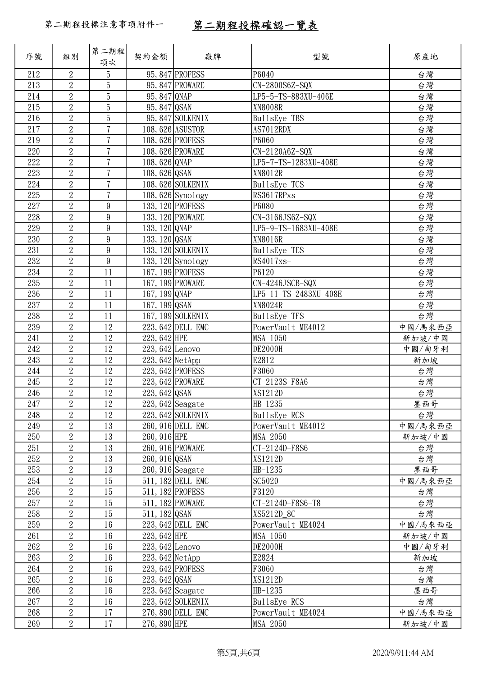| 序號  | 組別             | 第二期程 <br>項次      | 契約金額               | 廠牌                  | 型號                    | 原產地     |
|-----|----------------|------------------|--------------------|---------------------|-----------------------|---------|
| 212 | $\overline{2}$ | 5                |                    | 95, 847 PROFESS     | P6040                 | 台灣      |
| 213 | $\overline{2}$ | $\overline{5}$   |                    | 95, 847 PROWARE     | CN-2800S6Z-SQX        | 台灣      |
| 214 | $\sqrt{2}$     | $\overline{5}$   | 95, 847 QNAP       |                     | LP5-5-TS-883XU-406E   | 台灣      |
| 215 | $\overline{2}$ | $\overline{5}$   | 95, 847 QSAN       |                     | <b>XN8008R</b>        | 台灣      |
| 216 | $\overline{2}$ | $\overline{5}$   |                    | 95, 847 SOLKENIX    | BullsEye TBS          | 台灣      |
| 217 | $\overline{2}$ | $\overline{7}$   | 108, 626 ASUSTOR   |                     | AS7012RDX             | 台灣      |
| 219 | $\overline{2}$ | $\overline{7}$   | 108, 626 PROFESS   |                     | P6060                 | 台灣      |
| 220 | $\overline{2}$ | $\overline{7}$   | 108, 626 PROWARE   |                     | CN-2120A6Z-SQX        | 台灣      |
| 222 | $\overline{2}$ | $\overline{7}$   | 108, 626 QNAP      |                     | LP5-7-TS-1283XU-408E  | 台灣      |
| 223 | $\overline{2}$ | $\overline{7}$   | 108, 626 QSAN      |                     | XN8012R               | 台灣      |
| 224 | $\overline{2}$ | $\overline{7}$   |                    | 108, 626 SOLKENIX   | BullsEye TCS          | 台灣      |
| 225 | $\overline{2}$ | $\overline{7}$   |                    | $108,626$ Synology  | RS3617RPxs            | 台灣      |
| 227 | $\overline{2}$ | $\boldsymbol{9}$ | 133, 120 PROFESS   |                     | P6080                 | 台灣      |
| 228 | $\overline{2}$ | $\boldsymbol{9}$ | 133, 120 PROWARE   |                     | $CN-3166JS6Z-SQX$     | 台灣      |
| 229 | $\overline{2}$ | $9\,$            | 133, 120 QNAP      |                     | LP5-9-TS-1683XU-408E  | 台灣      |
| 230 | $\overline{2}$ | 9                | 133, 120 QSAN      |                     | XN8016R               | 台灣      |
| 231 | $\sqrt{2}$     | $\boldsymbol{9}$ |                    | 133, 120 SOLKENIX   | BullsEye TES          | 台灣      |
| 232 | $\overline{2}$ | $\boldsymbol{9}$ |                    | 133, $120$ Synology | RS4017xs+             | 台灣      |
| 234 | $\overline{2}$ | 11               | 167, 199 PROFESS   |                     | P6120                 | 台灣      |
| 235 | $\overline{2}$ | 11               | 167, 199 PROWARE   |                     | CN-4246JSCB-SQX       | 台灣      |
| 236 | $\overline{2}$ | 11               | 167, 199 QNAP      |                     | LP5-11-TS-2483XU-408E | 台灣      |
| 237 | $\overline{2}$ | 11               | 167, 199 QSAN      |                     | XN8024R               | 台灣      |
| 238 | $\overline{2}$ | 11               |                    | 167, 199 SOLKENIX   | BullsEye TFS          | 台灣      |
| 239 | $\sqrt{2}$     | 12               |                    | 223, 642 DELL EMC   | PowerVault ME4012     | 中國/馬來西亞 |
| 241 | $\overline{2}$ | 12               | $223,642$ HPE      |                     | MSA 1050              | 新加坡/中國  |
| 242 | $\overline{2}$ | 12               | $223,642$ Lenovo   |                     | <b>DE2000H</b>        | 中國/匈牙利  |
| 243 | $\overline{2}$ | 12               | $223,642$ NetApp   |                     | E2812                 | 新加坡     |
| 244 | $\overline{2}$ | 12               | 223, 642 PROFESS   |                     | F3060                 | 台灣      |
| 245 | $\overline{2}$ | 12               | 223, 642 PROWARE   |                     | CT-2123S-F8A6         | 台灣      |
| 246 | $\overline{2}$ | 12               | 223, 642 QSAN      |                     | XS1212D               | 台灣      |
| 247 | $\sqrt{2}$     | $12\,$           | $223,642$ Seagate  |                     | HB-1235               | 墨西哥     |
| 248 | $\overline{2}$ | 12               |                    | 223, 642 SOLKENIX   | BullsEye RCS          | 台灣      |
| 249 | $\overline{2}$ | 13               |                    | 260, 916 DELL EMC   | PowerVault ME4012     | 中國/馬來西亞 |
| 250 | $\overline{2}$ | 13               | $260, 916$ HPE     |                     | <b>MSA 2050</b>       | 新加坡/中國  |
| 251 | $\sqrt{2}$     | 13               | 260, 916 PROWARE   |                     | CT-2124D-F8S6         | 台灣      |
| 252 | $\mathbf{2}$   | 13               | 260, 916 QSAN      |                     | XS1212D               | 台灣      |
| 253 | $\mathbf{2}$   | 13               | $260, 916$ Seagate |                     | HB-1235               | 墨西哥     |
| 254 | $\overline{2}$ | 15               |                    | 511, 182 DELL EMC   | SC5020                | 中國/馬來西亞 |
| 256 | $\overline{2}$ | 15               |                    | 511, 182 PROFESS    | F3120                 | 台灣      |
| 257 | $\overline{2}$ | 15               | 511, 182 PROWARE   |                     | CT-2124D-F8S6-T8      | 台灣      |
| 258 | $\overline{2}$ | 15               | $511, 182$ QSAN    |                     | XS5212D 8C            | 台灣      |
| 259 | $\sqrt{2}$     | 16               |                    | 223, 642 DELL EMC   | PowerVault ME4024     | 中國/馬來西亞 |
| 261 | $\sqrt{2}$     | 16               | 223, 642 HPE       |                     | MSA 1050              | 新加坡/中國  |
| 262 | $\mathbf{2}$   | 16               | $223,642$ Lenovo   |                     | <b>DE2000H</b>        | 中國/匈牙利  |
| 263 | $\overline{2}$ | 16               | $223,642$ NetApp   |                     | E2824                 | 新加坡     |
| 264 | $\overline{2}$ | 16               |                    | 223, 642 PROFESS    | F3060                 | 台灣      |
| 265 | $\overline{2}$ | 16               | $223, 642$ QSAN    |                     | XS1212D               | 台灣      |
| 266 | $\overline{2}$ | 16               |                    | $223,642$ Seagate   | HB-1235               | 墨西哥     |
| 267 | $\sqrt{2}$     | 16               |                    | 223, 642 SOLKENIX   | BullsEye RCS          | 台灣      |
| 268 | $\overline{2}$ | 17               |                    | 276, 890 DELL EMC   | PowerVault ME4024     | 中國/馬來西亞 |
| 269 | $\overline{2}$ | 17               | 276, 890 HPE       |                     | MSA 2050              | 新加坡/中國  |